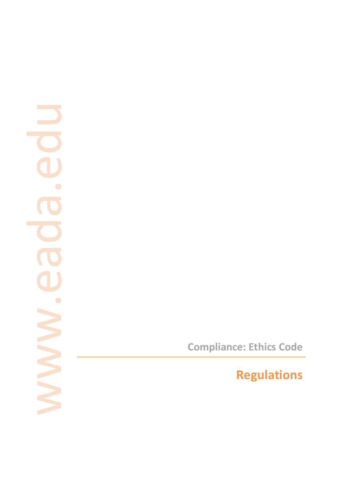# $\overline{\phantom{a}}$  $\overline{\phantom{a}}$  $\bullet$  $\overline{\phantom{a}}$  $\bullet$  $\blacksquare$

**Compliance: Ethics Code**

**Regulations**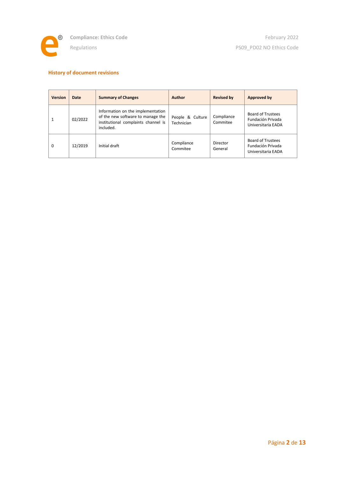

# **History of document revisions**

| <b>Version</b> | Date    | <b>Summary of Changes</b>                                                                                                  | Author                         | <b>Revised by</b>      | Approved by                                                         |
|----------------|---------|----------------------------------------------------------------------------------------------------------------------------|--------------------------------|------------------------|---------------------------------------------------------------------|
| $\mathbf{1}$   | 02/2022 | Information on the implementation<br>of the new software to manage the<br>institutional complaints channel is<br>included. | People & Culture<br>Technician | Compliance<br>Commitee | <b>Board of Trustees</b><br>Fundación Privada<br>Universitaria EADA |
| $\Omega$       | 12/2019 | Initial draft                                                                                                              | Compliance<br>Commitee         | Director<br>General    | <b>Board of Trustees</b><br>Fundación Privada<br>Universitaria EADA |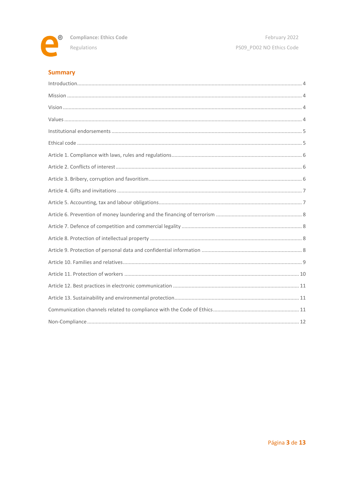

# **Summary**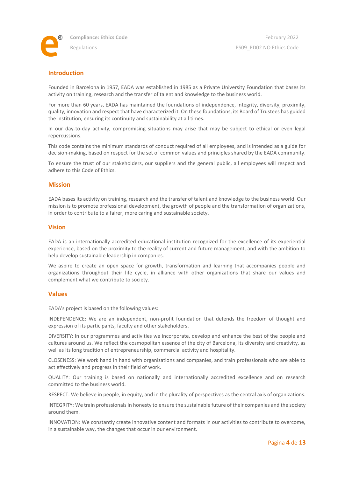

# <span id="page-3-0"></span>**Introduction**

Founded in Barcelona in 1957, EADA was established in 1985 as a Private University Foundation that bases its activity on training, research and the transfer of talent and knowledge to the business world.

For more than 60 years, EADA has maintained the foundations of independence, integrity, diversity, proximity, quality, innovation and respect that have characterized it. On these foundations, its Board of Trustees has guided the institution, ensuring its continuity and sustainability at all times.

In our day-to-day activity, compromising situations may arise that may be subject to ethical or even legal repercussions.

This code contains the minimum standards of conduct required of all employees, and is intended as a guide for decision-making, based on respect for the set of common values and principles shared by the EADA community.

To ensure the trust of our stakeholders, our suppliers and the general public, all employees will respect and adhere to this Code of Ethics.

### <span id="page-3-1"></span>**Mission**

EADA bases its activity on training, research and the transfer of talent and knowledge to the business world. Our mission is to promote professional development, the growth of people and the transformation of organizations, in order to contribute to a fairer, more caring and sustainable society.

### <span id="page-3-2"></span>**Vision**

EADA is an internationally accredited educational institution recognized for the excellence of its experiential experience, based on the proximity to the reality of current and future management, and with the ambition to help develop sustainable leadership in companies.

We aspire to create an open space for growth, transformation and learning that accompanies people and organizations throughout their life cycle, in alliance with other organizations that share our values and complement what we contribute to society.

### <span id="page-3-3"></span>**Values**

EADA's project is based on the following values:

INDEPENDENCE: We are an independent, non-profit foundation that defends the freedom of thought and expression of its participants, faculty and other stakeholders.

DIVERSITY: In our programmes and activities we incorporate, develop and enhance the best of the people and cultures around us. We reflect the cosmopolitan essence of the city of Barcelona, its diversity and creativity, as well as its long tradition of entrepreneurship, commercial activity and hospitality.

CLOSENESS: We work hand in hand with organizations and companies, and train professionals who are able to act effectively and progress in their field of work.

QUALITY: Our training is based on nationally and internationally accredited excellence and on research committed to the business world.

RESPECT: We believe in people, in equity, and in the plurality of perspectives as the central axis of organizations.

INTEGRITY: We train professionals in honesty to ensure the sustainable future of their companies and the society around them.

INNOVATION: We constantly create innovative content and formats in our activities to contribute to overcome, in a sustainable way, the changes that occur in our environment.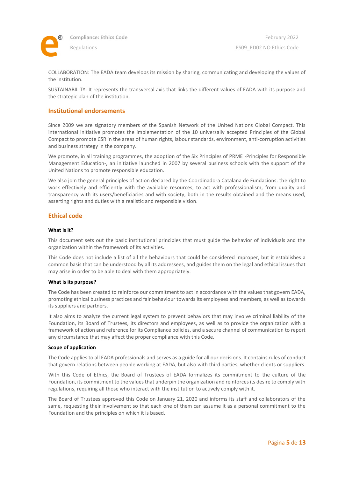

**Compliance: Ethics Code** Regulations

COLLABORATION: The EADA team develops its mission by sharing, communicating and developing the values of the institution.

SUSTAINABILITY: It represents the transversal axis that links the different values of EADA with its purpose and the strategic plan of the institution.

### <span id="page-4-0"></span>**Institutional endorsements**

Since 2009 we are signatory members of the Spanish Network of the United Nations Global Compact. This international initiative promotes the implementation of the 10 universally accepted Principles of the Global Compact to promote CSR in the areas of human rights, labour standards, environment, anti-corruption activities and business strategy in the company.

We promote, in all training programmes, the adoption of the Six Principles of PRME -Principles for Responsible Management Education-, an initiative launched in 2007 by several business schools with the support of the United Nations to promote responsible education.

We also join the general principles of action declared by the Coordinadora Catalana de Fundacions: the right to work effectively and efficiently with the available resources; to act with professionalism; from quality and transparency with its users/beneficiaries and with society, both in the results obtained and the means used, asserting rights and duties with a realistic and responsible vision.

# <span id="page-4-1"></span>**Ethical code**

### **What is it?**

This document sets out the basic institutional principles that must guide the behavior of individuals and the organization within the framework of its activities.

This Code does not include a list of all the behaviours that could be considered improper, but it establishes a common basis that can be understood by all its addressees, and guides them on the legal and ethical issues that may arise in order to be able to deal with them appropriately.

### **What is its purpose?**

The Code has been created to reinforce our commitment to act in accordance with the values that govern EADA, promoting ethical business practices and fair behaviour towards its employees and members, as well as towards its suppliers and partners.

It also aims to analyze the current legal system to prevent behaviors that may involve criminal liability of the Foundation, its Board of Trustees, its directors and employees, as well as to provide the organization with a framework of action and reference for its Compliance policies, and a secure channel of communication to report any circumstance that may affect the proper compliance with this Code.

### **Scope of application**

The Code applies to all EADA professionals and serves as a guide for all our decisions. It contains rules of conduct that govern relations between people working at EADA, but also with third parties, whether clients or suppliers.

With this Code of Ethics, the Board of Trustees of EADA formalizes its commitment to the culture of the Foundation, its commitment to the values that underpin the organization and reinforces its desire to comply with regulations, requiring all those who interact with the institution to actively comply with it.

The Board of Trustees approved this Code on January 21, 2020 and informs its staff and collaborators of the same, requesting their involvement so that each one of them can assume it as a personal commitment to the Foundation and the principles on which it is based.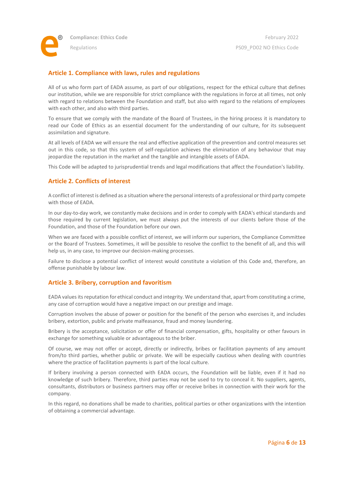# <span id="page-5-0"></span>**Article 1. Compliance with laws, rules and regulations**

All of us who form part of EADA assume, as part of our obligations, respect for the ethical culture that defines our institution, while we are responsible for strict compliance with the regulations in force at all times, not only with regard to relations between the Foundation and staff, but also with regard to the relations of employees with each other, and also with third parties.

To ensure that we comply with the mandate of the Board of Trustees, in the hiring process it is mandatory to read our Code of Ethics as an essential document for the understanding of our culture, for its subsequent assimilation and signature.

At all levels of EADA we will ensure the real and effective application of the prevention and control measures set out in this code, so that this system of self-regulation achieves the elimination of any behaviour that may jeopardize the reputation in the market and the tangible and intangible assets of EADA.

This Code will be adapted to jurisprudential trends and legal modifications that affect the Foundation's liability.

# <span id="page-5-1"></span>**Article 2. Conflicts of interest**

A conflict of interest is defined as a situation where the personal interests of a professional or third party compete with those of EADA.

In our day-to-day work, we constantly make decisions and in order to comply with EADA's ethical standards and those required by current legislation, we must always put the interests of our clients before those of the Foundation, and those of the Foundation before our own.

When we are faced with a possible conflict of interest, we will inform our superiors, the Compliance Committee or the Board of Trustees. Sometimes, it will be possible to resolve the conflict to the benefit of all, and this will help us, in any case, to improve our decision-making processes.

Failure to disclose a potential conflict of interest would constitute a violation of this Code and, therefore, an offense punishable by labour law.

# <span id="page-5-2"></span>**Article 3. Bribery, corruption and favoritism**

EADA values its reputation for ethical conduct and integrity. We understand that, apart from constituting a crime, any case of corruption would have a negative impact on our prestige and image.

Corruption involves the abuse of power or position for the benefit of the person who exercises it, and includes bribery, extortion, public and private malfeasance, fraud and money laundering.

Bribery is the acceptance, solicitation or offer of financial compensation, gifts, hospitality or other favours in exchange for something valuable or advantageous to the briber.

Of course, we may not offer or accept, directly or indirectly, bribes or facilitation payments of any amount from/to third parties, whether public or private. We will be especially cautious when dealing with countries where the practice of facilitation payments is part of the local culture.

If bribery involving a person connected with EADA occurs, the Foundation will be liable, even if it had no knowledge of such bribery. Therefore, third parties may not be used to try to conceal it. No suppliers, agents, consultants, distributors or business partners may offer or receive bribes in connection with their work for the company.

In this regard, no donations shall be made to charities, political parties or other organizations with the intention of obtaining a commercial advantage.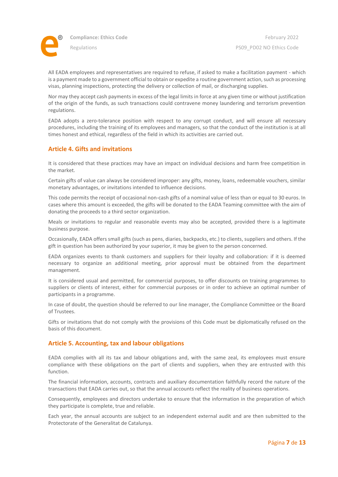

All EADA employees and representatives are required to refuse, if asked to make a facilitation payment - which is a payment made to a government official to obtain or expedite a routine government action, such as processing visas, planning inspections, protecting the delivery or collection of mail, or discharging supplies.

Nor may they accept cash payments in excess of the legal limits in force at any given time or without justification of the origin of the funds, as such transactions could contravene money laundering and terrorism prevention regulations.

EADA adopts a zero-tolerance position with respect to any corrupt conduct, and will ensure all necessary procedures, including the training of its employees and managers, so that the conduct of the institution is at all times honest and ethical, regardless of the field in which its activities are carried out.

### <span id="page-6-0"></span>**Article 4. Gifts and invitations**

It is considered that these practices may have an impact on individual decisions and harm free competition in the market.

Certain gifts of value can always be considered improper: any gifts, money, loans, redeemable vouchers, similar monetary advantages, or invitations intended to influence decisions.

This code permits the receipt of occasional non-cash gifts of a nominal value of less than or equal to 30 euros. In cases where this amount is exceeded, the gifts will be donated to the EADA Teaming committee with the aim of donating the proceeds to a third sector organization.

Meals or invitations to regular and reasonable events may also be accepted, provided there is a legitimate business purpose.

Occasionally, EADA offers small gifts (such as pens, diaries, backpacks, etc.) to clients, suppliers and others. If the gift in question has been authorized by your superior, it may be given to the person concerned.

EADA organizes events to thank customers and suppliers for their loyalty and collaboration: if it is deemed necessary to organize an additional meeting, prior approval must be obtained from the department management.

It is considered usual and permitted, for commercial purposes, to offer discounts on training programmes to suppliers or clients of interest, either for commercial purposes or in order to achieve an optimal number of participants in a programme.

In case of doubt, the question should be referred to our line manager, the Compliance Committee or the Board of Trustees.

Gifts or invitations that do not comply with the provisions of this Code must be diplomatically refused on the basis of this document.

### <span id="page-6-1"></span>**Article 5. Accounting, tax and labour obligations**

EADA complies with all its tax and labour obligations and, with the same zeal, its employees must ensure compliance with these obligations on the part of clients and suppliers, when they are entrusted with this function.

The financial information, accounts, contracts and auxiliary documentation faithfully record the nature of the transactions that EADA carries out, so that the annual accounts reflect the reality of business operations.

Consequently, employees and directors undertake to ensure that the information in the preparation of which they participate is complete, true and reliable.

Each year, the annual accounts are subject to an independent external audit and are then submitted to the Protectorate of the Generalitat de Catalunya.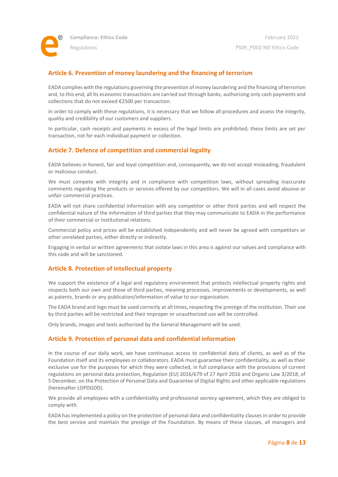

# <span id="page-7-0"></span>**Article 6. Prevention of money laundering and the financing of terrorism**

EADA complies with the regulations governing the prevention of money laundering and the financing of terrorism and, to this end, all its economic transactions are carried out through banks, authorising only cash payments and collections that do not exceed €2500 per transaction.

In order to comply with these regulations, it is necessary that we follow all procedures and assess the integrity, quality and credibility of our customers and suppliers.

In particular, cash receipts and payments in excess of the legal limits are prohibited; these limits are set per transaction, not for each individual payment or collection.

# <span id="page-7-1"></span>**Article 7. Defence of competition and commercial legality**

EADA believes in honest, fair and loyal competition and, consequently, we do not accept misleading, fraudulent or malicious conduct.

We must compete with integrity and in compliance with competition laws, without spreading inaccurate comments regarding the products or services offered by our competitors. We will in all cases avoid abusive or unfair commercial practices.

EADA will not share confidential information with any competitor or other third parties and will respect the confidential nature of the information of third parties that they may communicate to EADA in the performance of their commercial or institutional relations.

Commercial policy and prices will be established independently and will never be agreed with competitors or other unrelated parties, either directly or indirectly.

Engaging in verbal or written agreements that violate laws in this area is against our values and compliance with this code and will be sanctioned.

### <span id="page-7-2"></span>**Article 8. Protection of intellectual property**

We support the existence of a legal and regulatory environment that protects intellectual property rights and respects both our own and those of third parties, meaning processes, improvements or developments, as well as patents, brands or any publication/information of value to our organization.

The EADA brand and logo must be used correctly at all times, respecting the prestige of the institution. Their use by third parties will be restricted and their improper or unauthorized use will be controlled.

Only brands, images and texts authorized by the General Management will be used.

### <span id="page-7-3"></span>**Article 9. Protection of personal data and confidential information**

In the course of our daily work, we have continuous access to confidential data of clients, as well as of the Foundation itself and its employees or collaborators. EADA must guarantee their confidentiality, as well as their exclusive use for the purposes for which they were collected, in full compliance with the provisions of current regulations on personal data protection, Regulation (EU) 2016/679 of 27 April 2016 and Organic Law 3/2018, of 5 December, on the Protection of Personal Data and Guarantee of Digital Rights and other applicable regulations (hereinafter LOPDGDD).

We provide all employees with a confidentiality and professional secrecy agreement, which they are obliged to comply with.

EADA has implemented a policy on the protection of personal data and confidentiality clauses in order to provide the best service and maintain the prestige of the Foundation. By means of these clauses, all managers and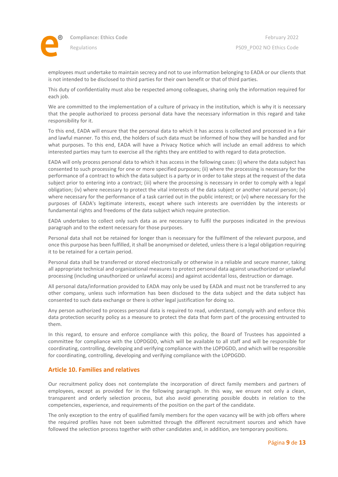

employees must undertake to maintain secrecy and not to use information belonging to EADA or our clients that is not intended to be disclosed to third parties for their own benefit or that of third parties.

This duty of confidentiality must also be respected among colleagues, sharing only the information required for each job.

We are committed to the implementation of a culture of privacy in the institution, which is why it is necessary that the people authorized to process personal data have the necessary information in this regard and take responsibility for it.

To this end, EADA will ensure that the personal data to which it has access is collected and processed in a fair and lawful manner. To this end, the holders of such data must be informed of how they will be handled and for what purposes. To this end, EADA will have a Privacy Notice which will include an email address to which interested parties may turn to exercise all the rights they are entitled to with regard to data protection.

EADA will only process personal data to which it has access in the following cases: (i) where the data subject has consented to such processing for one or more specified purposes; (ii) where the processing is necessary for the performance of a contract to which the data subject is a party or in order to take steps at the request of the data subject prior to entering into a contract; (iii) where the processing is necessary in order to comply with a legal obligation; (iv) where necessary to protect the vital interests of the data subject or another natural person; (v) where necessary for the performance of a task carried out in the public interest; or (vi) where necessary for the purposes of EADA's legitimate interests, except where such interests are overridden by the interests or fundamental rights and freedoms of the data subject which require protection.

EADA undertakes to collect only such data as are necessary to fulfil the purposes indicated in the previous paragraph and to the extent necessary for those purposes.

Personal data shall not be retained for longer than is necessary for the fulfilment of the relevant purpose, and once this purpose has been fulfilled, it shall be anonymised or deleted, unless there is a legal obligation requiring it to be retained for a certain period.

Personal data shall be transferred or stored electronically or otherwise in a reliable and secure manner, taking all appropriate technical and organizational measures to protect personal data against unauthorized or unlawful processing (including unauthorized or unlawful access) and against accidental loss, destruction or damage.

All personal data/information provided to EADA may only be used by EADA and must not be transferred to any other company, unless such information has been disclosed to the data subject and the data subject has consented to such data exchange or there is other legal justification for doing so.

Any person authorized to process personal data is required to read, understand, comply with and enforce this data protection security policy as a measure to protect the data that form part of the processing entrusted to them.

In this regard, to ensure and enforce compliance with this policy, the Board of Trustees has appointed a committee for compliance with the LOPDGDD, which will be available to all staff and will be responsible for coordinating, controlling, developing and verifying compliance with the LOPDGDD, and which will be responsible for coordinating, controlling, developing and verifying compliance with the LOPDGDD.

# <span id="page-8-0"></span>**Article 10. Families and relatives**

Our recruitment policy does not contemplate the incorporation of direct family members and partners of employees, except as provided for in the following paragraph. In this way, we ensure not only a clean, transparent and orderly selection process, but also avoid generating possible doubts in relation to the competencies, experience, and requirements of the position on the part of the candidate.

The only exception to the entry of qualified family members for the open vacancy will be with job offers where the required profiles have not been submitted through the different recruitment sources and which have followed the selection process together with other candidates and, in addition, are temporary positions.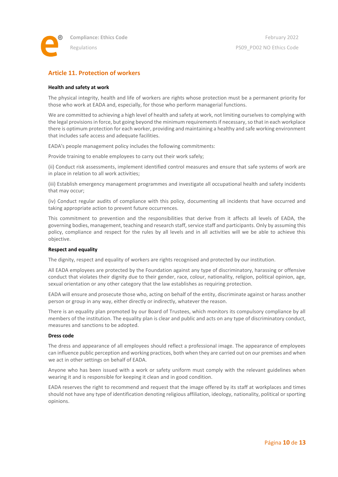

# <span id="page-9-0"></span>**Article 11. Protection of workers**

### **Health and safety at work**

The physical integrity, health and life of workers are rights whose protection must be a permanent priority for those who work at EADA and, especially, for those who perform managerial functions.

We are committed to achieving a high level of health and safety at work, not limiting ourselves to complying with the legal provisions in force, but going beyond the minimum requirements if necessary, so that in each workplace there is optimum protection for each worker, providing and maintaining a healthy and safe working environment that includes safe access and adequate facilities.

EADA's people management policy includes the following commitments:

Provide training to enable employees to carry out their work safely;

(ii) Conduct risk assessments, implement identified control measures and ensure that safe systems of work are in place in relation to all work activities;

(iii) Establish emergency management programmes and investigate all occupational health and safety incidents that may occur;

(iv) Conduct regular audits of compliance with this policy, documenting all incidents that have occurred and taking appropriate action to prevent future occurrences.

This commitment to prevention and the responsibilities that derive from it affects all levels of EADA, the governing bodies, management, teaching and research staff, service staff and participants. Only by assuming this policy, compliance and respect for the rules by all levels and in all activities will we be able to achieve this objective.

### **Respect and equality**

The dignity, respect and equality of workers are rights recognised and protected by our institution.

All EADA employees are protected by the Foundation against any type of discriminatory, harassing or offensive conduct that violates their dignity due to their gender, race, colour, nationality, religion, political opinion, age, sexual orientation or any other category that the law establishes as requiring protection.

EADA will ensure and prosecute those who, acting on behalf of the entity, discriminate against or harass another person or group in any way, either directly or indirectly, whatever the reason.

There is an equality plan promoted by our Board of Trustees, which monitors its compulsory compliance by all members of the institution. The equality plan is clear and public and acts on any type of discriminatory conduct, measures and sanctions to be adopted.

### **Dress code**

The dress and appearance of all employees should reflect a professional image. The appearance of employees can influence public perception and working practices, both when they are carried out on our premises and when we act in other settings on behalf of EADA.

Anyone who has been issued with a work or safety uniform must comply with the relevant guidelines when wearing it and is responsible for keeping it clean and in good condition.

EADA reserves the right to recommend and request that the image offered by its staff at workplaces and times should not have any type of identification denoting religious affiliation, ideology, nationality, political or sporting opinions.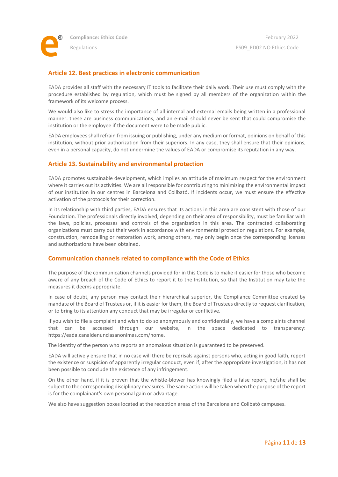

# <span id="page-10-0"></span>**Article 12. Best practices in electronic communication**

EADA provides all staff with the necessary IT tools to facilitate their daily work. Their use must comply with the procedure established by regulation, which must be signed by all members of the organization within the framework of its welcome process.

We would also like to stress the importance of all internal and external emails being written in a professional manner: these are business communications, and an e-mail should never be sent that could compromise the institution or the employee if the document were to be made public.

EADA employees shall refrain from issuing or publishing, under any medium or format, opinions on behalf of this institution, without prior authorization from their superiors. In any case, they shall ensure that their opinions, even in a personal capacity, do not undermine the values of EADA or compromise its reputation in any way.

### <span id="page-10-1"></span>**Article 13. Sustainability and environmental protection**

EADA promotes sustainable development, which implies an attitude of maximum respect for the environment where it carries out its activities. We are all responsible for contributing to minimizing the environmental impact of our institution in our centres in Barcelona and Collbató. If incidents occur, we must ensure the effective activation of the protocols for their correction.

In its relationship with third parties, EADA ensures that its actions in this area are consistent with those of our Foundation. The professionals directly involved, depending on their area of responsibility, must be familiar with the laws, policies, processes and controls of the organization in this area. The contracted collaborating organizations must carry out their work in accordance with environmental protection regulations. For example, construction, remodelling or restoration work, among others, may only begin once the corresponding licenses and authorizations have been obtained.

### <span id="page-10-2"></span>**Communication channels related to compliance with the Code of Ethics**

The purpose of the communication channels provided for in this Code is to make it easier for those who become aware of any breach of the Code of Ethics to report it to the Institution, so that the Institution may take the measures it deems appropriate.

In case of doubt, any person may contact their hierarchical superior, the Compliance Committee created by mandate of the Board of Trustees or, if it is easier for them, the Board of Trustees directly to request clarification, or to bring to its attention any conduct that may be irregular or conflictive.

If you wish to file a complaint and wish to do so anonymously and confidentially, we have a complaints channel that can be accessed through our website, in the space dedicated to transparency: https://eada.canaldenunciasanonimas.com/home.

The identity of the person who reports an anomalous situation is guaranteed to be preserved.

EADA will actively ensure that in no case will there be reprisals against persons who, acting in good faith, report the existence or suspicion of apparently irregular conduct, even if, after the appropriate investigation, it has not been possible to conclude the existence of any infringement.

On the other hand, if it is proven that the whistle-blower has knowingly filed a false report, he/she shall be subject to the corresponding disciplinary measures. The same action will be taken when the purpose of the report is for the complainant's own personal gain or advantage.

We also have suggestion boxes located at the reception areas of the Barcelona and Collbató campuses.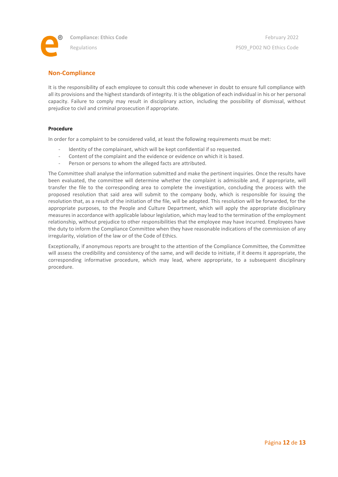

# <span id="page-11-0"></span>**Non-Compliance**

It is the responsibility of each employee to consult this code whenever in doubt to ensure full compliance with all its provisions and the highest standards of integrity. It is the obligation of each individual in his or her personal capacity. Failure to comply may result in disciplinary action, including the possibility of dismissal, without prejudice to civil and criminal prosecution if appropriate.

### **Procedure**

In order for a complaint to be considered valid, at least the following requirements must be met:

- Identity of the complainant, which will be kept confidential if so requested.
- Content of the complaint and the evidence or evidence on which it is based.
- Person or persons to whom the alleged facts are attributed.

The Committee shall analyse the information submitted and make the pertinent inquiries. Once the results have been evaluated, the committee will determine whether the complaint is admissible and, if appropriate, will transfer the file to the corresponding area to complete the investigation, concluding the process with the proposed resolution that said area will submit to the company body, which is responsible for issuing the resolution that, as a result of the initiation of the file, will be adopted. This resolution will be forwarded, for the appropriate purposes, to the People and Culture Department, which will apply the appropriate disciplinary measures in accordance with applicable labour legislation, which may lead to the termination of the employment relationship, without prejudice to other responsibilities that the employee may have incurred. Employees have the duty to inform the Compliance Committee when they have reasonable indications of the commission of any irregularity, violation of the law or of the Code of Ethics.

Exceptionally, if anonymous reports are brought to the attention of the Compliance Committee, the Committee will assess the credibility and consistency of the same, and will decide to initiate, if it deems it appropriate, the corresponding informative procedure, which may lead, where appropriate, to a subsequent disciplinary procedure.